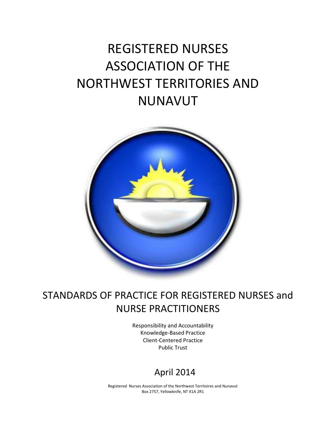# REGISTERED NURSES ASSOCIATION OF THE NORTHWEST TERRITORIES AND NUNAVUT



# STANDARDS OF PRACTICE FOR REGISTERED NURSES and NURSE PRACTITIONERS

Responsibility and Accountability Knowledge-Based Practice Client-Centered Practice Public Trust

# April 2014

Registered Nurses Association of the Northwest Territoires and Nunavut Box 2757, Yellowknife, NT X1A 2R1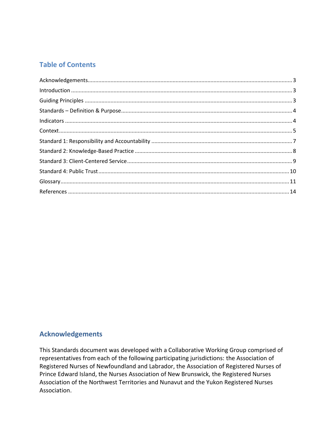# **Table of Contents**

| $\label{lem:1.1} \mbox{Introduction} \,\, \ldots \,\, \ldots \,\, \ldots \,\, \ldots \,\, \ldots \,\, \ldots \,\, \ldots \,\, \ldots \,\, \ldots \,\, \ldots \,\, \ldots \,\, \ldots \,\, \ldots \,\, \ldots \,\, \ldots \,\, \ldots \,\, \ldots \,\, \ldots \,\, \ldots \,\, \ldots \,\, \ldots \,\, \ldots \,\, \ldots \,\, \ldots \,\, \ldots \,\, \ldots \,\, \ldots \,\, \ldots \,\, \ldots \,\, \ldots \,\, \ldots \,\, \ldots \,\, \ldots \,\, \ldots \$ |  |
|-----------------------------------------------------------------------------------------------------------------------------------------------------------------------------------------------------------------------------------------------------------------------------------------------------------------------------------------------------------------------------------------------------------------------------------------------------------------|--|
|                                                                                                                                                                                                                                                                                                                                                                                                                                                                 |  |
|                                                                                                                                                                                                                                                                                                                                                                                                                                                                 |  |
|                                                                                                                                                                                                                                                                                                                                                                                                                                                                 |  |
|                                                                                                                                                                                                                                                                                                                                                                                                                                                                 |  |
|                                                                                                                                                                                                                                                                                                                                                                                                                                                                 |  |
|                                                                                                                                                                                                                                                                                                                                                                                                                                                                 |  |
|                                                                                                                                                                                                                                                                                                                                                                                                                                                                 |  |
|                                                                                                                                                                                                                                                                                                                                                                                                                                                                 |  |
|                                                                                                                                                                                                                                                                                                                                                                                                                                                                 |  |
|                                                                                                                                                                                                                                                                                                                                                                                                                                                                 |  |

### <span id="page-2-0"></span>**Acknowledgements**

This Standards document was developed with a Collaborative Working Group comprised of representatives from each of the following participating jurisdictions: the Association of Registered Nurses of Newfoundland and Labrador, the Association of Registered Nurses of Prince Edward Island, the Nurses Association of New Brunswick, the Registered Nurses Association of the Northwest Territories and Nunavut and the Yukon Registered Nurses Association.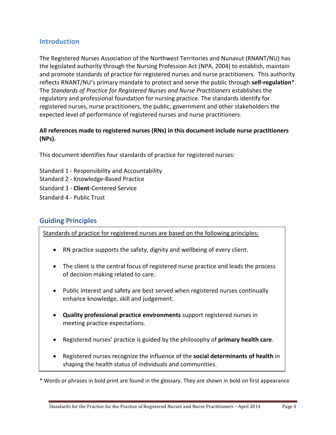### <span id="page-3-0"></span>**Introduction**

The Registered Nurses Association of the Northwest Territories and Nunavut (RNANT/NU) has the legislated authority through the Nursing Profession Act (NPA, 2004) to establish, maintain and promote standards of practice for registered nurses and nurse practitioners. This authority reflects RNANT/NU's primary mandate to protect and serve the public through **self-regulation**\*. The *Standards of Practice for Registered Nurses and Nurse Practitioners* establishes the regulatory and professional foundation for nursing practice. The standards identify for registered nurses, nurse practitioners, the public, government and other stakeholders the expected level of performance of registered nurses and nurse practitioners.

#### **All references made to registered nurses (RNs) in this document include nurse practitioners (NPs).**

This document identifies four standards of practice for registered nurses:

- Standard 1 Responsibility and Accountability
- Standard 2 Knowledge-Based Practice
- Standard 3 **Client**-Centered Service

<span id="page-3-1"></span>Standard 4 - Public Trust

# **Guiding Principles**

Standards of practice for registered nurses are based on the following principles:

- RN practice supports the safety, dignity and wellbeing of every client.
- The client is the central focus of registered nurse practice and leads the process of decision making related to care.
- Public interest and safety are best served when registered nurses continually enhance knowledge, skill and judgement.
- **Quality professional practice environments** support registered nurses in meeting practice expectations.
- Registered nurses' practice is guided by the philosophy of **primary health care**.
- Registered nurses recognize the influence of the **social determinants of health** in shaping the health status of individuals and communities.

\* Words or phrases in bold print are found in the glossary. They are shown in bold on first appearance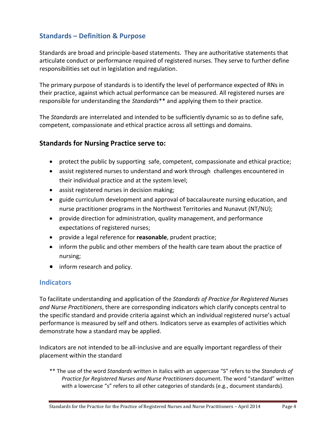# <span id="page-4-0"></span>**Standards – Definition & Purpose**

Standards are broad and principle-based statements. They are authoritative statements that articulate conduct or performance required of registered nurses. They serve to further define responsibilities set out in legislation and regulation.

The primary purpose of standards is to identify the level of performance expected of RNs in their practice, against which actual performance can be measured*.* All registered nurses are responsible for understanding the *Standards*\*\* and applying them to their practice.

The *Standards* are interrelated and intended to be sufficiently dynamic so as to define safe, competent, compassionate and ethical practice across all settings and domains.

#### **Standards for Nursing Practice serve to:**

- protect the public by supporting safe, competent, compassionate and ethical practice;
- assist registered nurses to understand and work through challenges encountered in their individual practice and at the system level;
- assist registered nurses in decision making;
- guide curriculum development and approval of baccalaureate nursing education, and nurse practitioner programs in the Northwest Territories and Nunavut (NT/NU);
- provide direction for administration, quality management, and performance expectations of registered nurses;
- provide a legal reference for **reasonable**, prudent practice;
- **•** inform the public and other members of the health care team about the practice of nursing;
- inform research and policy.

#### **Indicators**

To facilitate understanding and application of the *Standards of Practice for Registered Nurses and Nurse Practitioners*, there are corresponding indicators which clarify concepts central to the specific standard and provide criteria against which an individual registered nurse's actual performance is measured by self and others. Indicators serve as examples of activities which demonstrate how a standard may be applied.

Indicators are not intended to be all-inclusive and are equally important regardless of their placement within the standard

\*\* The use of the word *Standards* written in italics with an uppercase "S" refers to the *Standards of Practice for Registered Nurses and Nurse Practitioners* document. The word "standard" written with a lowercase "s" refers to all other categories of standards (e.g., document standards).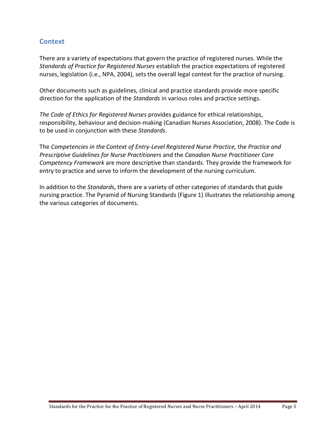## <span id="page-5-0"></span>**Context**

There are a variety of expectations that govern the practice of registered nurses. While the *Standards of Practice for Registered Nurses* establish the practice expectations of registered nurses, legislation (i.e., NPA, 2004), sets the overall legal context for the practice of nursing.

Other documents such as guidelines, clinical and practice standards provide more specific direction for the application of the *Standards* in various roles and practice settings.

*The Code of Ethics for Registered Nurses* provides guidance for ethical relationships, responsibility, behaviour and decision-making (Canadian Nurses Association, 2008). The Code is to be used in conjunction with these *Standards*.

The *Competencies in the Context of Entry-Level Registered Nurse Practice,* the *Practice and Prescriptive Guidelines for Nurse Practitioners* and the *Canadian Nurse Practitioner Core Competency Framework* are more descriptive than standards. They provide the framework for entry to practice and serve to inform the development of the nursing curriculum.

In addition to the *Standard*s, there are a variety of other categories of standards that guide nursing practice. The Pyramid of Nursing Standards (Figure 1) illustrates the relationship among the various categories of documents.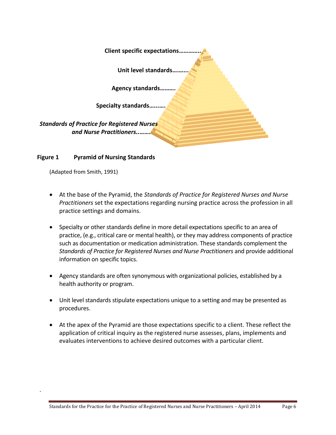| <b>Client specific expectations.</b>                                           |
|--------------------------------------------------------------------------------|
| Unit level standards                                                           |
| <b>Agency standards.</b>                                                       |
| <b>Specialty standards.</b>                                                    |
| <b>Standards of Practice for Registered Nurses</b><br>and Nurse Practitioners. |

#### **Figure 1 Pyramid of Nursing Standards**

<span id="page-6-0"></span>(Adapted from Smith, 1991)

.

- At the base of the Pyramid, the *Standards of Practice for Registered Nurses and Nurse Practitioners* set the expectations regarding nursing practice across the profession in all practice settings and domains.
- Specialty or other standards define in more detail expectations specific to an area of practice, (e.g., critical care or mental health), or they may address components of practice such as documentation or medication administration. These standards complement the *Standards of Practice for Registered Nurses and Nurse Practitioners* and provide additional information on specific topics.
- Agency standards are often synonymous with organizational policies, established by a health authority or program.
- Unit level standards stipulate expectations unique to a setting and may be presented as procedures.
- At the apex of the Pyramid are those expectations specific to a client. These reflect the application of critical inquiry as the registered nurse assesses, plans, implements and evaluates interventions to achieve desired outcomes with a particular client.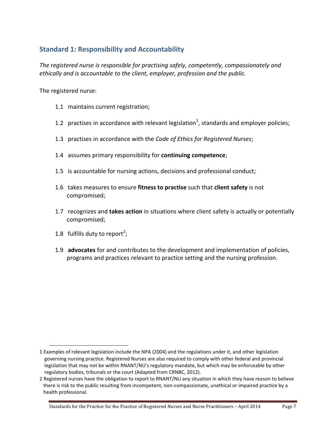# <span id="page-7-0"></span>**Standard 1: Responsibility and Accountability**

*The registered nurse is responsible for practising safely, competently, compassionately and ethically and is accountable to the client, employer, profession and the public.*

The registered nurse:

- 1.1 maintains current registration;
- 1.2 practises in accordance with relevant legislation<sup>1</sup>, standards and employer policies;
- 1.3 practises in accordance with the *Code of Ethics for Registered Nurses*;
- 1.4 assumes primary responsibility for **continuing competence**;
- 1.5 is accountable for nursing actions, decisions and professional conduct;
- 1.6 takes measures to ensure **fitness to practise** such that **client safety** is not compromised;
- 1.7 recognizes and **takes action** in situations where client safety is actually or potentially compromised;
- 1.8 fulfills duty to report<sup>2</sup>;

 $\overline{a}$ 

1.9 **advocates** for and contributes to the development and implementation of policies, programs and practices relevant to practice setting and the nursing profession.

<sup>1</sup> Examples of relevant legislation include the NPA (2004) and the regulations under it, and other legislation governing nursing practice. Registered Nurses are also required to comply with other federal and provincial legislation that may not be within RNANT/NU's regulatory mandate, but which may be enforceable by other regulatory bodies, tribunals or the court (Adapted from CRNBC, 2012).

<sup>2</sup> Registered nurses have the obligation to report to RNANT/NU any situation in which they have reason to believe there is risk to the public resulting from incompetent, non-compassionate, unethical or impaired practice by a health professional.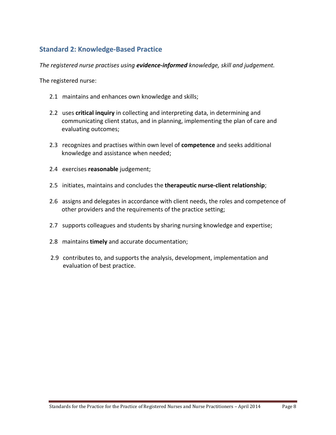# <span id="page-8-0"></span>**Standard 2: Knowledge-Based Practice**

*The registered nurse practises using evidence-informed knowledge, skill and judgement.*

The registered nurse:

- 2.1 maintains and enhances own knowledge and skills;
- 2.2 uses **critical inquiry** in collecting and interpreting data, in determining and communicating client status, and in planning, implementing the plan of care and evaluating outcomes;
- 2.3recognizes and practises within own level of **competence** and seeks additional knowledge and assistance when needed;
- 2.4 exercises **reasonable** judgement;
- 2.5 initiates, maintains and concludes the **therapeutic nurse-client relationship**;
- 2.6 assigns and delegates in accordance with client needs, the roles and competence of other providers and the requirements of the practice setting;
- 2.7 supports colleagues and students by sharing nursing knowledge and expertise;
- 2.8 maintains **timely** and accurate documentation;
- <span id="page-8-1"></span>2.9 contributes to, and supports the analysis, development, implementation and evaluation of best practice.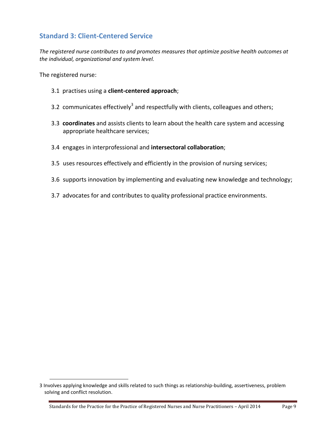# **Standard 3: Client-Centered Service**

*The registered nurse contributes to and promotes measures that optimize positive health outcomes at the individual, organizational and system level.*

The registered nurse:

- 3.1 practises using a **client-centered approach**;
- 3.2 communicates effectively<sup>3</sup> and respectfully with clients, colleagues and others;
- 3.3 **coordinates** and assists clients to learn about the health care system and accessing appropriate healthcare services;
- 3.4 engages in interprofessional and **intersectoral collaboration**;
- 3.5 uses resources effectively and efficiently in the provision of nursing services;
- 3.6 supports innovation by implementing and evaluating new knowledge and technology;
- 3.7 advocates for and contributes to quality professional practice environments.

<span id="page-9-0"></span><sup>3</sup> Involves applying knowledge and skills related to such things as relationship-building, assertiveness, problem solving and conflict resolution.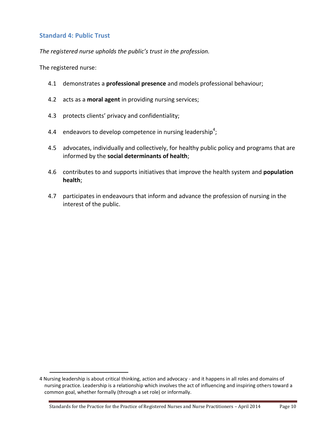#### **Standard 4: Public Trust**

*The registered nurse upholds the public's trust in the profession.* 

The registered nurse:

- 4.1 demonstrates a **professional presence** and models professional behaviour;
- 4.2 acts as a **moral agent** in providing nursing services;
- 4.3 protects clients' privacy and confidentiality;
- 4.4 endeavors to develop competence in nursing leadership<sup>4</sup>;
- 4.5 advocates, individually and collectively, for healthy public policy and programs that are informed by the **social determinants of health**;
- 4.6 contributes to and supports initiatives that improve the health system and **population health**;
- 4.7 participates in endeavours that inform and advance the profession of nursing in the interest of the public.

<sup>4</sup> Nursing leadership is about critical thinking, action and advocacy - and it happens in all roles and domains of nursing practice. Leadership is a relationship which involves the act of influencing and inspiring others toward a common goal, whether formally (through a set role) or informally.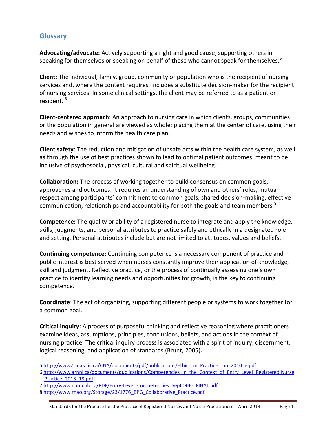# <span id="page-11-0"></span>**Glossary**

 $\overline{a}$ 

**Advocating/advocate:** Actively supporting a right and good cause; supporting others in speaking for themselves or speaking on behalf of those who cannot speak for themselves.<sup>5</sup>

**Client:** The individual, family, group, community or population who is the recipient of nursing services and, where the context requires, includes a substitute decision-maker for the recipient of nursing services. In some clinical settings, the client may be referred to as a patient or resident. <sup>6</sup>

**Client-centered approach**: An approach to nursing care in which clients, groups, communities or the population in general are viewed as whole; placing them at the center of care, using their needs and wishes to inform the health care plan.

**Client safety:** The reduction and mitigation of unsafe acts within the health care system, as well as through the use of best practices shown to lead to optimal patient outcomes, meant to be inclusive of psychosocial, physical, cultural and spiritual wellbeing.<sup>7</sup>

**Collaboration:** The process of working together to build consensus on common goals, approaches and outcomes. It requires an understanding of own and others' roles, mutual respect among participants' commitment to common goals, shared decision-making, effective communication, relationships and accountability for both the goals and team members.<sup>8</sup>

**Competence:** The quality or ability of a registered nurse to integrate and apply the knowledge, skills, judgments, and personal attributes to practice safely and ethically in a designated role and setting. Personal attributes include but are not limited to attitudes, values and beliefs.

**Continuing competence:** Continuing competence is a necessary component of practice and public interest is best served when nurses constantly improve their application of knowledge, skill and judgment. Reflective practice, or the process of continually assessing one's own practice to identify learning needs and opportunities for growth, is the key to continuing competence.

**Coordinate**: The act of organizing, supporting different people or systems to work together for a common goal.

**Critical inquiry**: A process of purposeful thinking and reflective reasoning where practitioners examine ideas, assumptions, principles, conclusions, beliefs, and actions in the context of nursing practice. The critical inquiry process is associated with a spirit of inquiry, discernment, logical reasoning, and application of standards (Brunt, 2005).

<sup>5</sup> [http://www2.cna-aiic.ca/CNA/documents/pdf/publications/Ethics\\_in\\_Practice\\_Jan\\_2010\\_e.pdf](http://www2.cna-aiic.ca/CNA/documents/pdf/publications/Ethics_in_Practice_Jan_2010_e.pdf)

<sup>6</sup> http://www.arnnl.ca/documents/publications/Competencies\_in\_the\_Context\_of\_Entry\_Level\_Registered Nurse [Practice\\_2013\\_18.pdf](http://www.arnnl.ca/documents/publications/Competencies_in_the_Context_of_Entry_Level_Registered%20Nurse%20Practice_2013_18.pdf)

<sup>7</sup> [http://www.nanb.nb.ca/PDF/Entry-Level\\_Competencies\\_Sept09-E-\\_FINAL.pdf](http://www.nanb.nb.ca/PDF/Entry-Level_Competencies_Sept09-E-_FINAL.pdf)

<sup>8</sup> [http://www.rnao.org/Storage/23/1776\\_BPG\\_Collaborative\\_Practice.pdf](http://www.rnao.org/Storage/23/1776_BPG_Collaborative_Practice.pdf)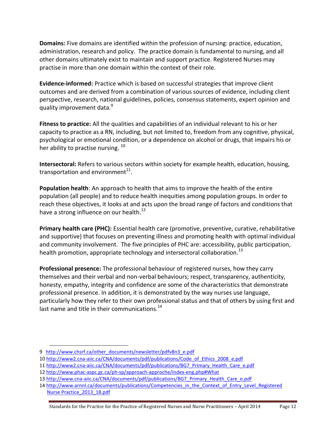**Domains:** Five domains are identified within the profession of nursing: practice, education, administration, research and policy. The practice domain is fundamental to nursing, and all other domains ultimately exist to maintain and support practice. Registered Nurses may practise in more than one domain within the context of their role.

**Evidence-informed:** Practice which is based on successful strategies that improve client outcomes and are derived from a combination of various sources of evidence, including client perspective, research, national guidelines, policies, consensus statements, expert opinion and quality improvement data.<sup>9</sup>

**Fitness to practice:** All the qualities and capabilities of an individual relevant to his or her capacity to practice as a RN, including, but not limited to, freedom from any cognitive, physical, psychological or emotional condition, or a dependence on alcohol or drugs, that impairs his or her ability to practise nursing.<sup>10</sup>

**Intersectoral:** Refers to various sectors within society for example health, education, housing, transportation and environment $^{11}$ .

**Population health**: An approach to health that aims to improve the health of the entire population (all people) and to reduce health inequities among population groups. In order to reach these objectives, it looks at and acts upon the broad range of factors and conditions that have a strong influence on our health.<sup>12</sup>

**Primary health care (PHC):** Essential health care (promotive, preventive, curative, rehabilitative and supportive) that focuses on preventing illness and promoting health with optimal individual and community involvement. The five principles of PHC are: accessibility, public participation, health promotion, appropriate technology and intersectoral collaboration.<sup>13</sup>

**Professional presence:** The professional behaviour of registered nurses, how they carry themselves and their verbal and non-verbal behaviours; respect, transparency, authenticity, honesty, empathy, integrity and confidence are some of the characteristics that demonstrate professional presence. In addition, it is demonstrated by the way nurses use language, particularly how they refer to their own professional status and that of others by using first and last name and title in their communications.<sup>14</sup>

<sup>9</sup> [http://www.chsrf.ca/other\\_documents/newsletter/pdfv8n3\\_e.pdf](http://www.chsrf.ca/other_documents/newsletter/pdfv8n3_e.pdf)

<sup>10</sup> [http://www2.cna-aiic.ca/CNA/documents/pdf/publications/Code\\_of\\_Ethics\\_2008\\_e.pdf](http://www2.cna-aiic.ca/CNA/documents/pdf/publications/Code_of_Ethics_2008_e.pdf)

<sup>11</sup> [http://www2.cna-aiic.ca/CNA/documents/pdf/publications/BG7\\_Primary\\_Health\\_Care\\_e.pdf](http://www2.cna-aiic.ca/CNA/documents/pdf/publications/BG7_Primary_Health_Care_e.pdf)

<sup>12</sup> <http://www.phac-aspc.gc.ca/ph-sp/approach-approche/index-eng.php#What>

<sup>13</sup> [http://www.cna-aiic.ca/CNA/documents/pdf/publications/BG7\\_Primary\\_Health\\_Care\\_e.pdf](http://www.cna-aiic.ca/CNA/documents/pdf/publications/BG7_Primary_Health_Care_e.pdf)

<sup>14</sup> http://www.arnnl.ca/documents/publications/Competencies\_in\_the\_Context\_of\_Entry\_Level\_Registered [Nurse Practice\\_2013\\_18.pdf](http://www.arnnl.ca/documents/publications/Competencies_in_the_Context_of_Entry_Level_Registered%20Nurse%20Practice_2013_18.pdf)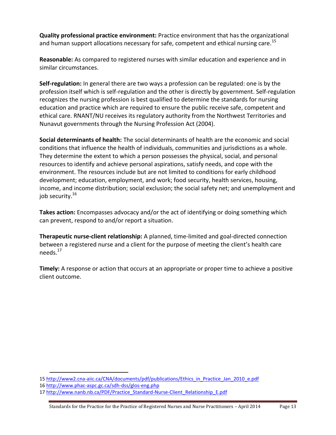**Quality professional practice environment:** Practice environment that has the organizational and human support allocations necessary for safe, competent and ethical nursing care.<sup>15</sup>

**Reasonable:** As compared to registered nurses with similar education and experience and in similar circumstances.

**Self-regulation:** In general there are two ways a profession can be regulated: one is by the profession itself which is self-regulation and the other is directly by government. Self-regulation recognizes the nursing profession is best qualified to determine the standards for nursing education and practice which are required to ensure the public receive safe, competent and ethical care. RNANT/NU receives its regulatory authority from the Northwest Territories and Nunavut governments through the Nursing Profession Act (2004).

**Social determinants of health:** The social determinants of health are the economic and social conditions that influence the health of individuals, communities and jurisdictions as a whole. They determine the extent to which a person possesses the physical, social, and personal resources to identify and achieve personal aspirations, satisfy needs, and cope with the environment. The resources include but are not limited to conditions for early childhood development; education, employment, and work; food security, health services, housing, income, and income distribution; social exclusion; the social safety net; and unemployment and job security.<sup>16</sup>

**Takes action:** Encompasses advocacy and/or the act of identifying or doing something which can prevent, respond to and/or report a situation.

**Therapeutic nurse-client relationship:** A planned, time-limited and goal-directed connection between a registered nurse and a client for the purpose of meeting the client's health care needs. $^{17}$ 

<span id="page-13-0"></span>**Timely:** A response or action that occurs at an appropriate or proper time to achieve a positive client outcome.

<sup>15</sup> [http://www2.cna-aiic.ca/CNA/documents/pdf/publications/Ethics\\_in\\_Practice\\_Jan\\_2010\\_e.pdf](http://www2.cna-aiic.ca/CNA/documents/pdf/publications/Ethics_in_Practice_Jan_2010_e.pdf)

<sup>16</sup> <http://www.phac-aspc.gc.ca/sdh-dss/glos-eng.php>

<sup>17</sup> [http://www.nanb.nb.ca/PDF/Practice\\_Standard-Nurse-Client\\_Relationship\\_E.pdf](http://www.nanb.nb.ca/PDF/Practice_Standard-Nurse-Client_Relationship_E.pdf)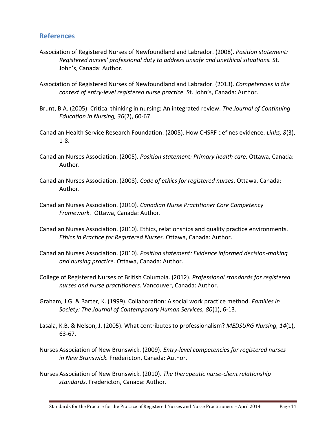#### **References**

- Association of Registered Nurses of Newfoundland and Labrador. (2008). *Position statement: Registered nurses' professional duty to address unsafe and unethical situations.* St. John's, Canada: Author.
- Association of Registered Nurses of Newfoundland and Labrador. (2013). *Competencies in the context of entry-level registered nurse practice.* St. John's, Canada: Author.
- Brunt, B.A. (2005). Critical thinking in nursing: An integrated review. *The Journal of Continuing Education in Nursing, 36*(2), 60-67.
- Canadian Health Service Research Foundation. (2005). How CHSRF defines evidence. *Links, 8*(3), 1-8.
- Canadian Nurses Association. (2005). *Position statement: Primary health care.* Ottawa, Canada: Author.
- Canadian Nurses Association. (2008). *Code of ethics for registered nurses*. Ottawa, Canada: Author.
- Canadian Nurses Association. (2010). *Canadian Nurse Practitioner Core Competency Framework.* Ottawa, Canada: Author.
- Canadian Nurses Association. (2010). Ethics, relationships and quality practice environments. *Ethics in Practice for Registered Nurses.* Ottawa, Canada: Author.
- Canadian Nurses Association. (2010). *Position statement: Evidence informed decision-making and nursing practice.* Ottawa, Canada: Author.
- College of Registered Nurses of British Columbia. (2012). *Professional standards for registered nurses and nurse practitioners*. Vancouver, Canada: Author.
- Graham, J.G. & Barter, K. (1999). Collaboration: A social work practice method. *Families in Society: The Journal of Contemporary Human Services, 80*(1), 6-13.
- Lasala, K.B, & Nelson, J. (2005). What contributes to professionalism? *MEDSURG Nursing, 14*(1), 63-67.
- Nurses Association of New Brunswick. (2009). *Entry-level competencies for registered nurses in New Brunswick.* Fredericton, Canada: Author.
- Nurses Association of New Brunswick. (2010). *The therapeutic nurse-client relationship standards.* Fredericton, Canada: Author.